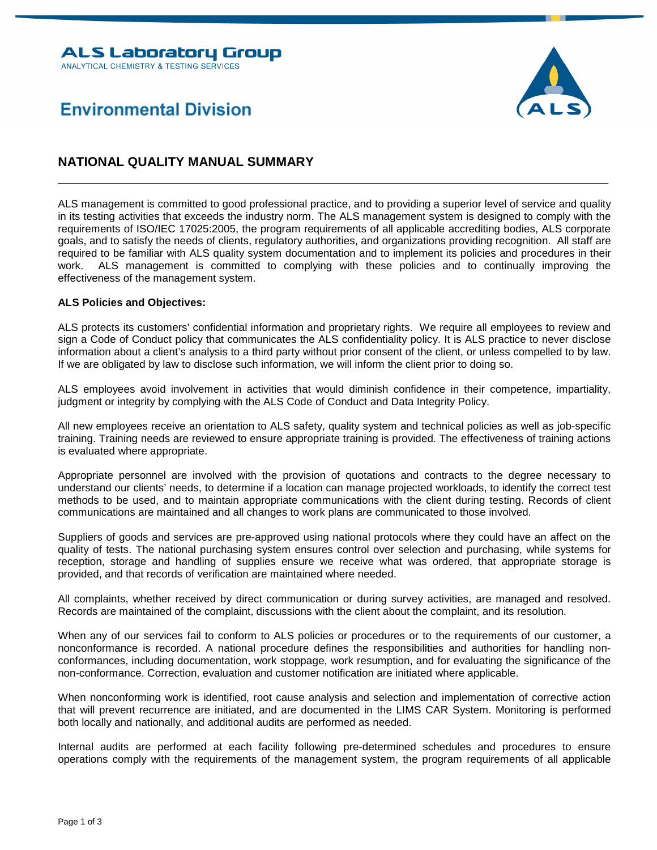

## **Environmental Division**

## **NATIONAL QUALITY MANUAL SUMMARY**

ALS management is committed to good professional practice, and to providing a superior level of service and quality in its testing activities that exceeds the industry norm. The ALS management system is designed to comply with the requirements of ISO/IEC 17025:2005, the program requirements of all applicable accrediting bodies, ALS corporate goals, and to satisfy the needs of clients, regulatory authorities, and organizations providing recognition. All staff are required to be familiar with ALS quality system documentation and to implement its policies and procedures in their work. ALS management is committed to complying with these policies and to continually improving the effectiveness of the management system.

## **ALS Policies and Objectives:**

ALS protects its customers' confidential information and proprietary rights. We require all employees to review and sign a Code of Conduct policy that communicates the ALS confidentiality policy. It is ALS practice to never disclose information about a client's analysis to a third party without prior consent of the client, or unless compelled to by law. If we are obligated by law to disclose such information, we will inform the client prior to doing so.

ALS employees avoid involvement in activities that would diminish confidence in their competence, impartiality, judgment or integrity by complying with the ALS Code of Conduct and Data Integrity Policy.

All new employees receive an orientation to ALS safety, quality system and technical policies as well as job-specific training. Training needs are reviewed to ensure appropriate training is provided. The effectiveness of training actions is evaluated where appropriate.

Appropriate personnel are involved with the provision of quotations and contracts to the degree necessary to understand our clients' needs, to determine if a location can manage projected workloads, to identify the correct test methods to be used, and to maintain appropriate communications with the client during testing. Records of client communications are maintained and all changes to work plans are communicated to those involved.

Suppliers of goods and services are pre-approved using national protocols where they could have an affect on the quality of tests. The national purchasing system ensures control over selection and purchasing, while systems for reception, storage and handling of supplies ensure we receive what was ordered, that appropriate storage is provided, and that records of verification are maintained where needed.

All complaints, whether received by direct communication or during survey activities, are managed and resolved. Records are maintained of the complaint, discussions with the client about the complaint, and its resolution.

When any of our services fail to conform to ALS policies or procedures or to the requirements of our customer, a nonconformance is recorded. A national procedure defines the responsibilities and authorities for handling nonconformances, including documentation, work stoppage, work resumption, and for evaluating the significance of the non-conformance. Correction, evaluation and customer notification are initiated where applicable.

When nonconforming work is identified, root cause analysis and selection and implementation of corrective action that will prevent recurrence are initiated, and are documented in the LIMS CAR System. Monitoring is performed both locally and nationally, and additional audits are performed as needed.

Internal audits are performed at each facility following pre-determined schedules and procedures to ensure operations comply with the requirements of the management system, the program requirements of all applicable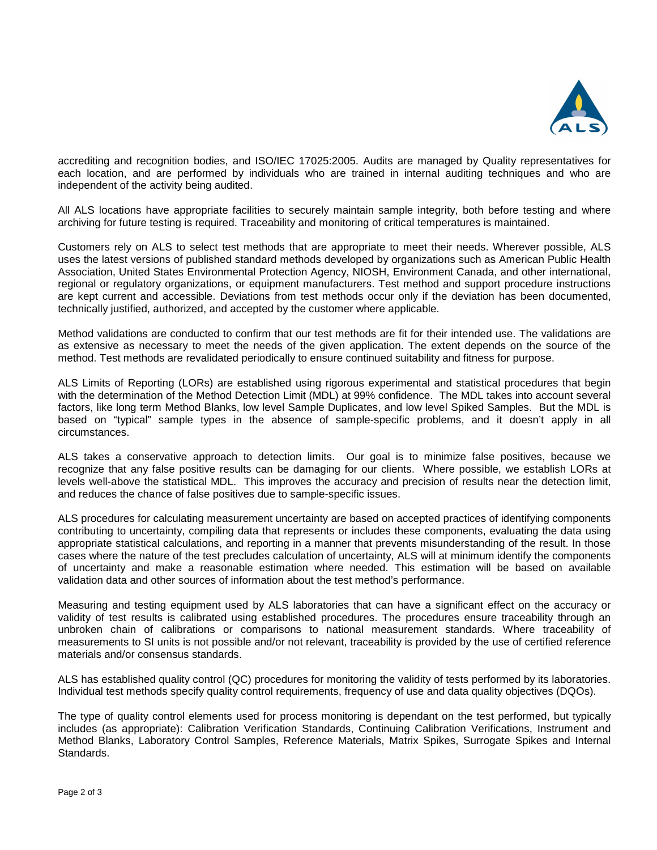

accrediting and recognition bodies, and ISO/IEC 17025:2005. Audits are managed by Quality representatives for each location, and are performed by individuals who are trained in internal auditing techniques and who are independent of the activity being audited.

All ALS locations have appropriate facilities to securely maintain sample integrity, both before testing and where archiving for future testing is required. Traceability and monitoring of critical temperatures is maintained.

Customers rely on ALS to select test methods that are appropriate to meet their needs. Wherever possible, ALS uses the latest versions of published standard methods developed by organizations such as American Public Health Association, United States Environmental Protection Agency, NIOSH, Environment Canada, and other international, regional or regulatory organizations, or equipment manufacturers. Test method and support procedure instructions are kept current and accessible. Deviations from test methods occur only if the deviation has been documented, technically justified, authorized, and accepted by the customer where applicable.

Method validations are conducted to confirm that our test methods are fit for their intended use. The validations are as extensive as necessary to meet the needs of the given application. The extent depends on the source of the method. Test methods are revalidated periodically to ensure continued suitability and fitness for purpose.

ALS Limits of Reporting (LORs) are established using rigorous experimental and statistical procedures that begin with the determination of the Method Detection Limit (MDL) at 99% confidence. The MDL takes into account several factors, like long term Method Blanks, low level Sample Duplicates, and low level Spiked Samples. But the MDL is based on "typical" sample types in the absence of sample-specific problems, and it doesn't apply in all circumstances.

ALS takes a conservative approach to detection limits. Our goal is to minimize false positives, because we recognize that any false positive results can be damaging for our clients. Where possible, we establish LORs at levels well-above the statistical MDL. This improves the accuracy and precision of results near the detection limit, and reduces the chance of false positives due to sample-specific issues.

ALS procedures for calculating measurement uncertainty are based on accepted practices of identifying components contributing to uncertainty, compiling data that represents or includes these components, evaluating the data using appropriate statistical calculations, and reporting in a manner that prevents misunderstanding of the result. In those cases where the nature of the test precludes calculation of uncertainty, ALS will at minimum identify the components of uncertainty and make a reasonable estimation where needed. This estimation will be based on available validation data and other sources of information about the test method's performance.

Measuring and testing equipment used by ALS laboratories that can have a significant effect on the accuracy or validity of test results is calibrated using established procedures. The procedures ensure traceability through an unbroken chain of calibrations or comparisons to national measurement standards. Where traceability of measurements to SI units is not possible and/or not relevant, traceability is provided by the use of certified reference materials and/or consensus standards.

ALS has established quality control (QC) procedures for monitoring the validity of tests performed by its laboratories. Individual test methods specify quality control requirements, frequency of use and data quality objectives (DQOs).

The type of quality control elements used for process monitoring is dependant on the test performed, but typically includes (as appropriate): Calibration Verification Standards, Continuing Calibration Verifications, Instrument and Method Blanks, Laboratory Control Samples, Reference Materials, Matrix Spikes, Surrogate Spikes and Internal Standards.